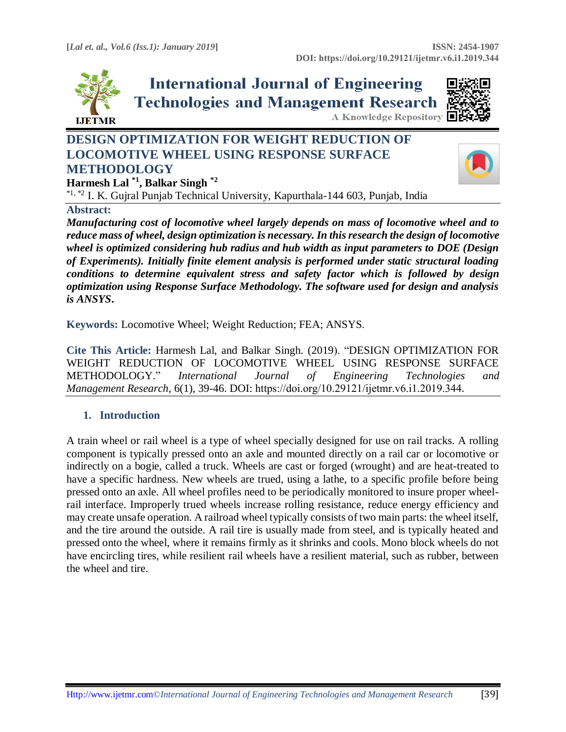

**International Journal of Engineering Technologies and Management Research** 



# **DESIGN OPTIMIZATION FOR WEIGHT REDUCTION OF LOCOMOTIVE WHEEL USING RESPONSE SURFACE METHODOLOGY**



**Harmesh Lal \*1 , Balkar Singh \*2**

\*1, \*2 I. K. Gujral Punjab Technical University, Kapurthala-144 603, Punjab, India

### **Abstract:**

*Manufacturing cost of locomotive wheel largely depends on mass of locomotive wheel and to reduce mass of wheel, design optimization is necessary. In this research the design of locomotive wheel is optimized considering hub radius and hub width as input parameters to DOE (Design of Experiments). Initially finite element analysis is performed under static structural loading conditions to determine equivalent stress and safety factor which is followed by design optimization using Response Surface Methodology. The software used for design and analysis is ANSYS***.**

**Keywords:** Locomotive Wheel; Weight Reduction; FEA; ANSYS*.* 

**Cite This Article:** Harmesh Lal, and Balkar Singh. (2019). "DESIGN OPTIMIZATION FOR WEIGHT REDUCTION OF LOCOMOTIVE WHEEL USING RESPONSE SURFACE METHODOLOGY." *International Journal of Engineering Technologies and Management Research,* 6(1), 39-46. DOI: https://doi.org/10.29121/ijetmr.v6.i1.2019.344.

### **1. Introduction**

A train wheel or rail wheel is a type of wheel specially designed for use on rail tracks. A rolling component is typically pressed onto an axle and mounted directly on a rail car or locomotive or indirectly on a bogie, called a truck. Wheels are cast or forged (wrought) and are heat-treated to have a specific hardness. New wheels are trued, using a lathe, to a specific profile before being pressed onto an axle. All wheel profiles need to be periodically monitored to insure proper wheelrail interface. Improperly trued wheels increase rolling resistance, reduce energy efficiency and may create unsafe operation. A railroad wheel typically consists of two main parts: the wheel itself, and the tire around the outside. A rail tire is usually made from steel, and is typically heated and pressed onto the wheel, where it remains firmly as it shrinks and cools. Mono block wheels do not have encircling tires, while resilient rail wheels have a resilient material, such as rubber, between the wheel and tire.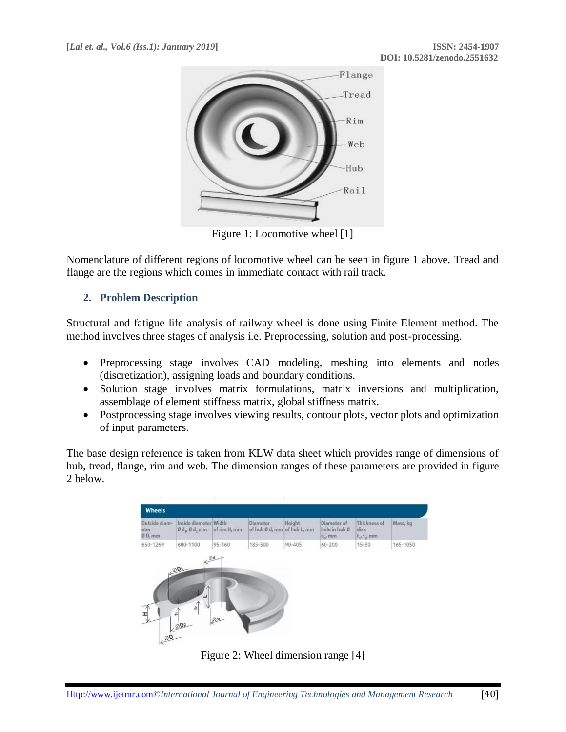

Figure 1: Locomotive wheel [1]

Nomenclature of different regions of locomotive wheel can be seen in figure 1 above. Tread and flange are the regions which comes in immediate contact with rail track.

# **2. Problem Description**

Structural and fatigue life analysis of railway wheel is done using Finite Element method. The method involves three stages of analysis i.e. Preprocessing, solution and post-processing.

- Preprocessing stage involves CAD modeling, meshing into elements and nodes (discretization), assigning loads and boundary conditions.
- Solution stage involves matrix formulations, matrix inversions and multiplication, assemblage of element stiffness matrix, global stiffness matrix.
- Postprocessing stage involves viewing results, contour plots, vector plots and optimization of input parameters.

The base design reference is taken from KLW data sheet which provides range of dimensions of hub, tread, flange, rim and web. The dimension ranges of these parameters are provided in figure 2 below.



Figure 2: Wheel dimension range [4]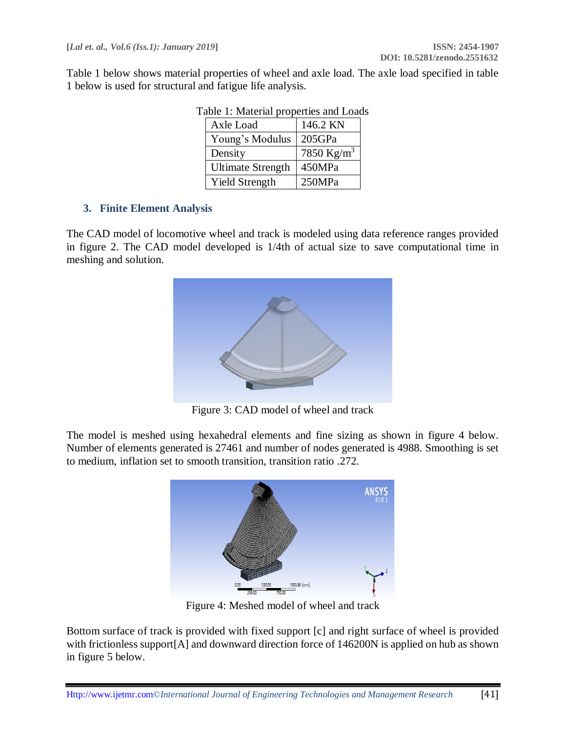Table 1 below shows material properties of wheel and axle load. The axle load specified in table 1 below is used for structural and fatigue life analysis.

| aoie 1. Macdiae<br>properties and Loug |                        |  |  |  |
|----------------------------------------|------------------------|--|--|--|
| Axle Load                              | 146.2 KN               |  |  |  |
| Young's Modulus                        | 205GPa                 |  |  |  |
| Density                                | 7850 Kg/m <sup>3</sup> |  |  |  |
| <b>Ultimate Strength</b>               | 450MPa                 |  |  |  |
| <b>Yield Strength</b>                  | 250MPa                 |  |  |  |

# Table 1: Material properties and Loads

# **3. Finite Element Analysis**

The CAD model of locomotive wheel and track is modeled using data reference ranges provided in figure 2. The CAD model developed is 1/4th of actual size to save computational time in meshing and solution.



Figure 3: CAD model of wheel and track

The model is meshed using hexahedral elements and fine sizing as shown in figure 4 below. Number of elements generated is 27461 and number of nodes generated is 4988. Smoothing is set to medium, inflation set to smooth transition, transition ratio .272.



Figure 4: Meshed model of wheel and track

Bottom surface of track is provided with fixed support [c] and right surface of wheel is provided with frictionless support[A] and downward direction force of 146200N is applied on hub as shown in figure 5 below.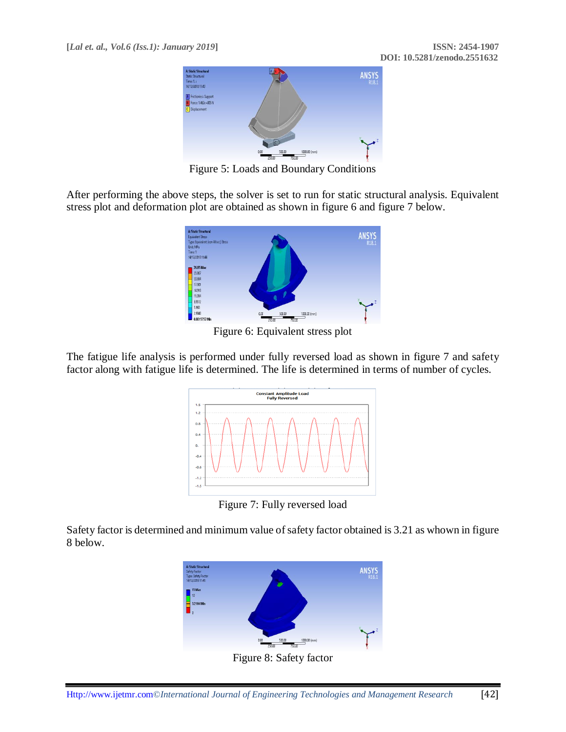

Figure 5: Loads and Boundary Conditions

After performing the above steps, the solver is set to run for static structural analysis. Equivalent stress plot and deformation plot are obtained as shown in figure 6 and figure 7 below.



Figure 6: Equivalent stress plot

The fatigue life analysis is performed under fully reversed load as shown in figure 7 and safety factor along with fatigue life is determined. The life is determined in terms of number of cycles.



Figure 7: Fully reversed load

Safety factor is determined and minimum value of safety factor obtained is 3.21 as whown in figure 8 below.



Figure 8: Safety factor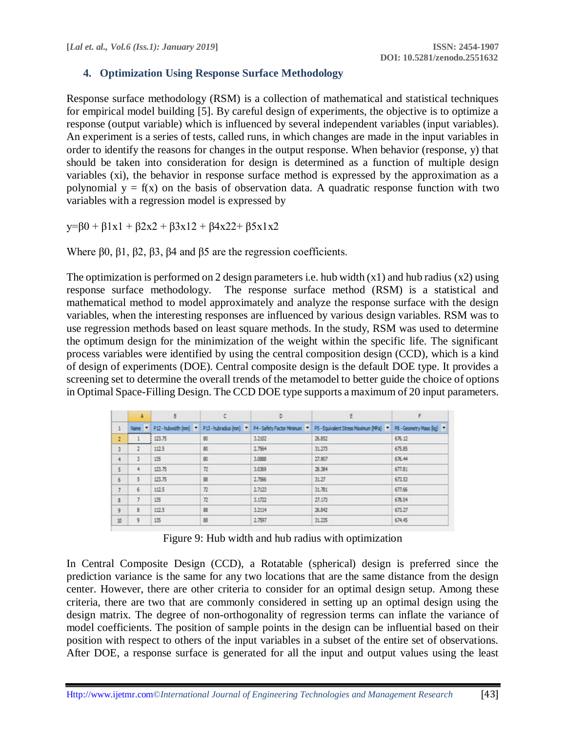# **4. Optimization Using Response Surface Methodology**

Response surface methodology (RSM) is a collection of mathematical and statistical techniques for empirical model building [5]. By careful design of experiments, the objective is to optimize a response (output variable) which is influenced by several independent variables (input variables). An experiment is a series of tests, called runs, in which changes are made in the input variables in order to identify the reasons for changes in the output response. When behavior (response, y) that should be taken into consideration for design is determined as a function of multiple design variables (xi), the behavior in response surface method is expressed by the approximation as a polynomial  $y = f(x)$  on the basis of observation data. A quadratic response function with two variables with a regression model is expressed by

 $y=60 + \beta 1x1 + \beta 2x2 + \beta 3x12 + \beta 4x22 + \beta 5x1x2$ 

Where β0, β1, β2, β3, β4 and β5 are the regression coefficients.

The optimization is performed on 2 design parameters i.e. hub width  $(x1)$  and hub radius  $(x2)$  using response surface methodology. The response surface method (RSM) is a statistical and mathematical method to model approximately and analyze the response surface with the design variables, when the interesting responses are influenced by various design variables. RSM was to use regression methods based on least square methods. In the study, RSM was used to determine the optimum design for the minimization of the weight within the specific life. The significant process variables were identified by using the central composition design (CCD), which is a kind of design of experiments (DOE). Central composite design is the default DOE type. It provides a screening set to determine the overall trends of the metamodel to better guide the choice of options in Optimal Space-Filling Design. The CCD DOE type supports a maximum of 20 input parameters.

|            | A  | B.     | $\mathbb{C}$                                 | D      | E                                                                                             | F.     |
|------------|----|--------|----------------------------------------------|--------|-----------------------------------------------------------------------------------------------|--------|
| $\ddagger$ |    |        | Name: P12-hubwidth (nm) P13-hubradius (nm) V |        | P4 - Safety Factor Minimum * P5 - Equivalent Stress Maximum (MPa) * P8 - Geometry Mass (kg) * |        |
| 2          |    | 123.75 | 80                                           | 3.2902 | 26.852                                                                                        | 676.12 |
| 3.         | 2  | 112.5  | 80                                           | 2.7564 | 31.273                                                                                        | 675.85 |
| 4          | 3  | 135    | 80                                           | 3.0888 | 27.907                                                                                        | 676.44 |
| 5          | 4  | 173.75 | 72                                           | 3.0369 | 28.384                                                                                        | 677.81 |
| 6          | 5. | 123.75 | 88                                           | 2.7566 | 31.27                                                                                         | 673.53 |
| 7          | 6  | 112.5  | $\overline{n}$                               | 2.7123 | 31.781                                                                                        | 677.66 |
| s          | 7  | 135    | $\overline{n}$                               | 3.1722 | 27.173                                                                                        | 678.04 |
| g.         | 8  | 112.5  | 88                                           | 3.2114 | 26.842                                                                                        | 673.27 |
| 10         | 9  | 135    | 88                                           | 2.7597 | 31.235                                                                                        | 674.45 |

Figure 9: Hub width and hub radius with optimization

In Central Composite Design (CCD), a Rotatable (spherical) design is preferred since the prediction variance is the same for any two locations that are the same distance from the design center. However, there are other criteria to consider for an optimal design setup. Among these criteria, there are two that are commonly considered in setting up an optimal design using the design matrix. The degree of non-orthogonality of regression terms can inflate the variance of model coefficients. The position of sample points in the design can be influential based on their position with respect to others of the input variables in a subset of the entire set of observations. After DOE, a response surface is generated for all the input and output values using the least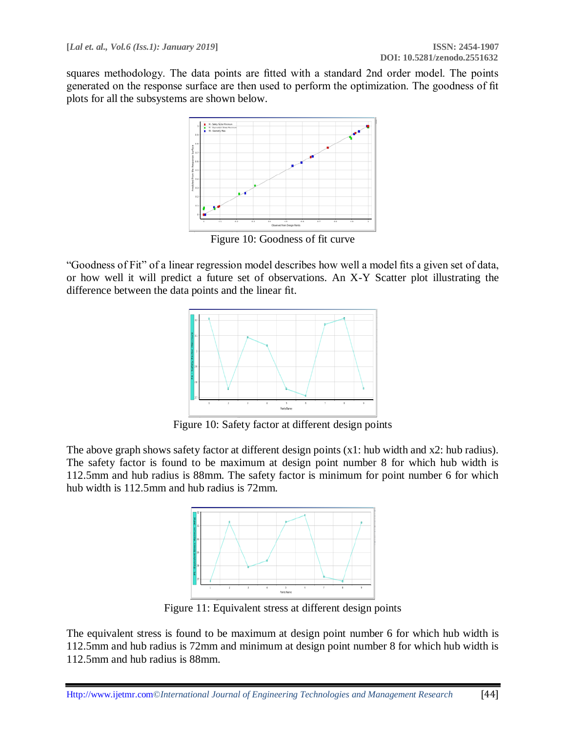squares methodology. The data points are fitted with a standard 2nd order model. The points generated on the response surface are then used to perform the optimization. The goodness of fit plots for all the subsystems are shown below.



Figure 10: Goodness of fit curve

"Goodness of Fit" of a linear regression model describes how well a model fits a given set of data, or how well it will predict a future set of observations. An X-Y Scatter plot illustrating the difference between the data points and the linear fit.



Figure 10: Safety factor at different design points

The above graph shows safety factor at different design points (x1: hub width and x2: hub radius). The safety factor is found to be maximum at design point number 8 for which hub width is 112.5mm and hub radius is 88mm. The safety factor is minimum for point number 6 for which hub width is 112.5mm and hub radius is 72mm.



Figure 11: Equivalent stress at different design points

The equivalent stress is found to be maximum at design point number 6 for which hub width is 112.5mm and hub radius is 72mm and minimum at design point number 8 for which hub width is 112.5mm and hub radius is 88mm.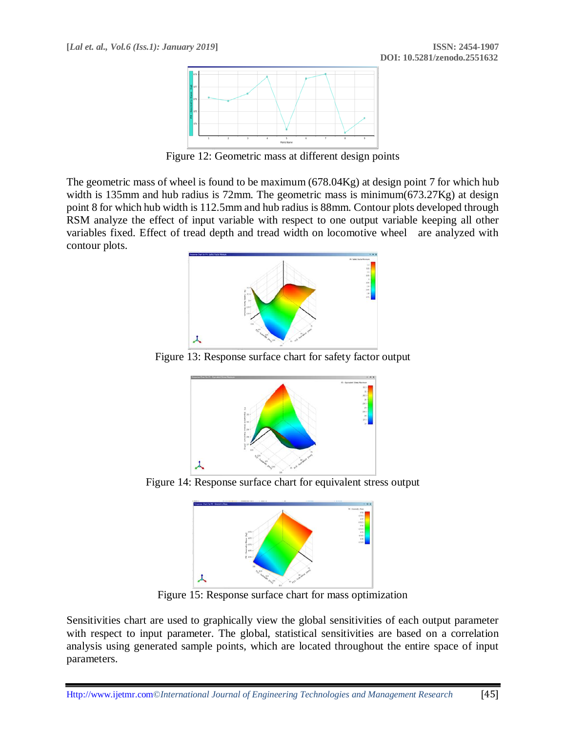

Figure 12: Geometric mass at different design points

The geometric mass of wheel is found to be maximum (678.04Kg) at design point 7 for which hub width is 135mm and hub radius is 72mm. The geometric mass is minimum(673.27Kg) at design point 8 for which hub width is 112.5mm and hub radius is 88mm. Contour plots developed through RSM analyze the effect of input variable with respect to one output variable keeping all other variables fixed. Effect of tread depth and tread width on locomotive wheel are analyzed with contour plots.



Figure 13: Response surface chart for safety factor output



Figure 14: Response surface chart for equivalent stress output



Figure 15: Response surface chart for mass optimization

Sensitivities chart are used to graphically view the global sensitivities of each output parameter with respect to input parameter. The global, statistical sensitivities are based on a correlation analysis using generated sample points, which are located throughout the entire space of input parameters.